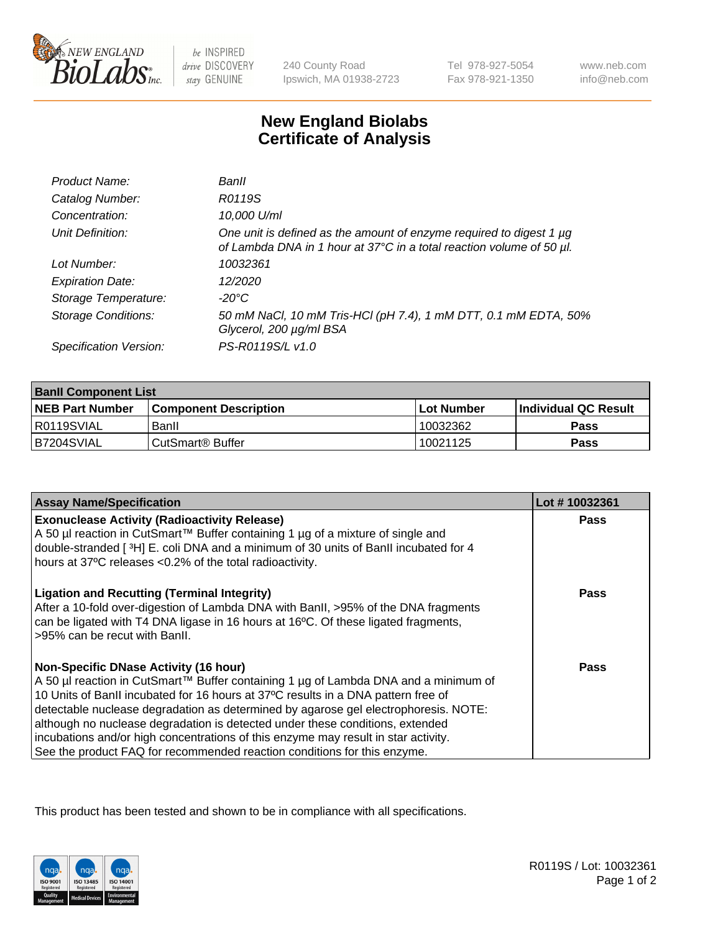

 $be$  INSPIRED drive DISCOVERY stay GENUINE

240 County Road Ipswich, MA 01938-2723 Tel 978-927-5054 Fax 978-921-1350

www.neb.com info@neb.com

## **New England Biolabs Certificate of Analysis**

| Product Name:              | Banll                                                                                                                                       |
|----------------------------|---------------------------------------------------------------------------------------------------------------------------------------------|
| Catalog Number:            | R0119S                                                                                                                                      |
| Concentration:             | 10,000 U/ml                                                                                                                                 |
| Unit Definition:           | One unit is defined as the amount of enzyme required to digest 1 µg<br>of Lambda DNA in 1 hour at 37°C in a total reaction volume of 50 µl. |
| Lot Number:                | 10032361                                                                                                                                    |
| <b>Expiration Date:</b>    | 12/2020                                                                                                                                     |
| Storage Temperature:       | -20°C                                                                                                                                       |
| <b>Storage Conditions:</b> | 50 mM NaCl, 10 mM Tris-HCl (pH 7.4), 1 mM DTT, 0.1 mM EDTA, 50%<br>Glycerol, 200 µg/ml BSA                                                  |
| Specification Version:     | PS-R0119S/L v1.0                                                                                                                            |

| <b>Banll Component List</b> |                              |              |                       |  |
|-----------------------------|------------------------------|--------------|-----------------------|--|
| <b>NEB Part Number</b>      | <b>Component Description</b> | l Lot Number | ∣Individual QC Result |  |
| I R0119SVIAL                | Banll                        | 10032362     | <b>Pass</b>           |  |
| IB7204SVIAL                 | CutSmart <sup>®</sup> Buffer | 10021125     | Pass                  |  |

| <b>Assay Name/Specification</b>                                                                                                                                                                                                                                 | Lot #10032361 |
|-----------------------------------------------------------------------------------------------------------------------------------------------------------------------------------------------------------------------------------------------------------------|---------------|
| <b>Exonuclease Activity (Radioactivity Release)</b><br>A 50 µl reaction in CutSmart™ Buffer containing 1 µg of a mixture of single and                                                                                                                          | Pass          |
| double-stranded [3H] E. coli DNA and a minimum of 30 units of BanII incubated for 4                                                                                                                                                                             |               |
| hours at 37°C releases <0.2% of the total radioactivity.                                                                                                                                                                                                        |               |
| <b>Ligation and Recutting (Terminal Integrity)</b><br>After a 10-fold over-digestion of Lambda DNA with BanII, >95% of the DNA fragments<br>can be ligated with T4 DNA ligase in 16 hours at 16°C. Of these ligated fragments,<br>>95% can be recut with Banll. | <b>Pass</b>   |
| <b>Non-Specific DNase Activity (16 hour)</b>                                                                                                                                                                                                                    | Pass          |
| A 50 µl reaction in CutSmart™ Buffer containing 1 µg of Lambda DNA and a minimum of                                                                                                                                                                             |               |
| 10 Units of BanII incubated for 16 hours at 37°C results in a DNA pattern free of                                                                                                                                                                               |               |
| detectable nuclease degradation as determined by agarose gel electrophoresis. NOTE:                                                                                                                                                                             |               |
| although no nuclease degradation is detected under these conditions, extended                                                                                                                                                                                   |               |
| incubations and/or high concentrations of this enzyme may result in star activity.<br>See the product FAQ for recommended reaction conditions for this enzyme.                                                                                                  |               |
|                                                                                                                                                                                                                                                                 |               |

This product has been tested and shown to be in compliance with all specifications.